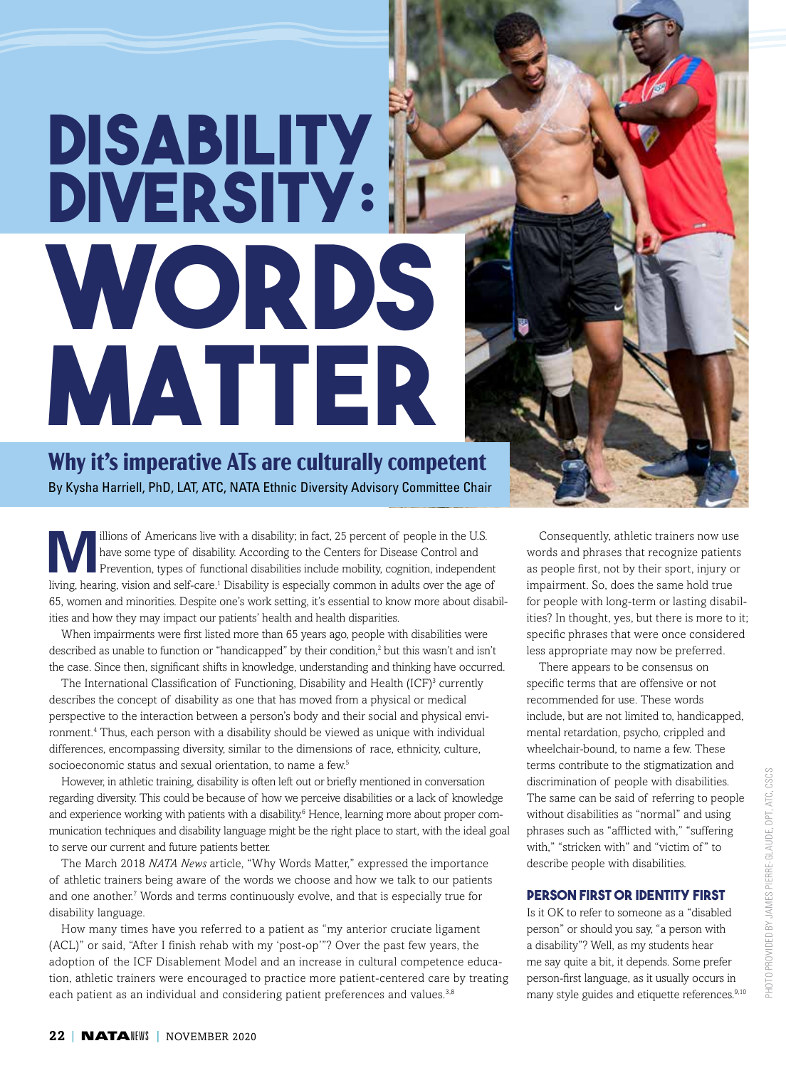## **DISABILITY DIVERSITY: WORDS MATTER**

**Why it's imperative ATs are culturally competent** By Kysha Harriell, PhD, LAT, ATC, NATA Ethnic Diversity Advisory Committee Chair

Millions of Americans live with a disability; in fact, 25 percent of people in the U.S.<br>
Prevention, types of functional disabilities include mobility, cognition, independent<br>
Ning begins with a gradied formal Disability i have some type of disability. According to the Centers for Disease Control and living, hearing, vision and self-care.<sup>1</sup> Disability is especially common in adults over the age of 65, women and minorities. Despite one's work setting, it's essential to know more about disabilities and how they may impact our patients' health and health disparities.

When impairments were first listed more than 65 years ago, people with disabilities were described as unable to function or "handicapped" by their condition,<sup>2</sup> but this wasn't and isn't the case. Since then, significant shifts in knowledge, understanding and thinking have occurred.

The International Classification of Functioning, Disability and Health  $(ICF)^3$  currently describes the concept of disability as one that has moved from a physical or medical perspective to the interaction between a person's body and their social and physical environment.4 Thus, each person with a disability should be viewed as unique with individual differences, encompassing diversity, similar to the dimensions of race, ethnicity, culture, socioeconomic status and sexual orientation, to name a few.<sup>5</sup>

However, in athletic training, disability is often left out or briefly mentioned in conversation regarding diversity. This could be because of how we perceive disabilities or a lack of knowledge and experience working with patients with a disability.<sup>6</sup> Hence, learning more about proper communication techniques and disability language might be the right place to start, with the ideal goal to serve our current and future patients better.

The March 2018 *NATA News* article, "Why Words Matter," expressed the importance of athletic trainers being aware of the words we choose and how we talk to our patients and one another.<sup>7</sup> Words and terms continuously evolve, and that is especially true for disability language.

How many times have you referred to a patient as "my anterior cruciate ligament (ACL)" or said, "After I finish rehab with my 'post-op'"? Over the past few years, the adoption of the ICF Disablement Model and an increase in cultural competence education, athletic trainers were encouraged to practice more patient-centered care by treating each patient as an individual and considering patient preferences and values.<sup>3,8</sup>

Consequently, athletic trainers now use words and phrases that recognize patients as people first, not by their sport, injury or impairment. So, does the same hold true for people with long-term or lasting disabilities? In thought, yes, but there is more to it; specific phrases that were once considered less appropriate may now be preferred.

There appears to be consensus on specific terms that are offensive or not recommended for use. These words include, but are not limited to, handicapped, mental retardation, psycho, crippled and wheelchair-bound, to name a few. These terms contribute to the stigmatization and discrimination of people with disabilities. The same can be said of referring to people without disabilities as "normal" and using phrases such as "afflicted with," "suffering with," "stricken with" and "victim of " to describe people with disabilities.

## **Person First or Identity First**

Is it OK to refer to someone as a "disabled person" or should you say, "a person with a disability"? Well, as my students hear me say quite a bit, it depends. Some prefer person-first language, as it usually occurs in many style guides and etiquette references.<sup>9,10</sup>